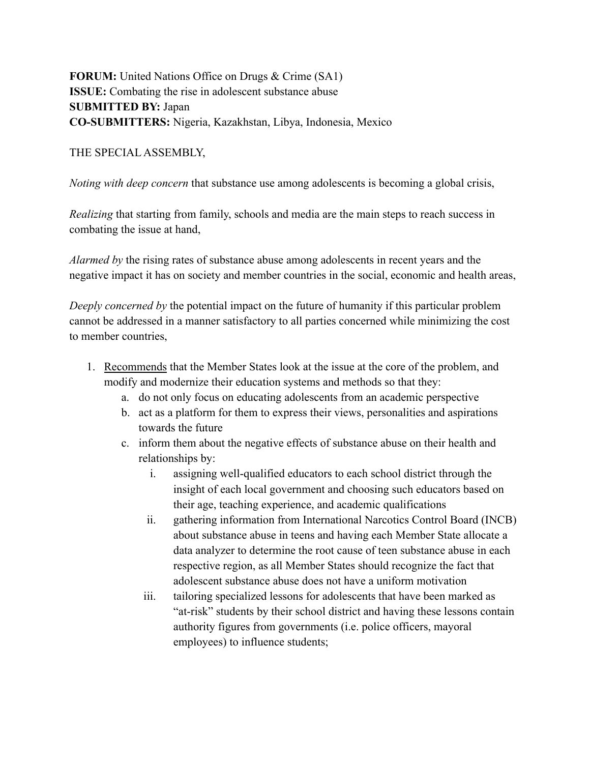# **FORUM:** United Nations Office on Drugs & Crime (SA1) **ISSUE:** Combating the rise in adolescent substance abuse **SUBMITTED BY:** Japan **CO-SUBMITTERS:** Nigeria, Kazakhstan, Libya, Indonesia, Mexico

#### THE SPECIAL ASSEMBLY,

*Noting with deep concern* that substance use among adolescents is becoming a global crisis,

*Realizing* that starting from family, schools and media are the main steps to reach success in combating the issue at hand,

*Alarmed by* the rising rates of substance abuse among adolescents in recent years and the negative impact it has on society and member countries in the social, economic and health areas,

*Deeply concerned by* the potential impact on the future of humanity if this particular problem cannot be addressed in a manner satisfactory to all parties concerned while minimizing the cost to member countries,

- 1. Recommends that the Member States look at the issue at the core of the problem, and modify and modernize their education systems and methods so that they:
	- a. do not only focus on educating adolescents from an academic perspective
	- b. act as a platform for them to express their views, personalities and aspirations towards the future
	- c. inform them about the negative effects of substance abuse on their health and relationships by:
		- i. assigning well-qualified educators to each school district through the insight of each local government and choosing such educators based on their age, teaching experience, and academic qualifications
		- ii. gathering information from International Narcotics Control Board (INCB) about substance abuse in teens and having each Member State allocate a data analyzer to determine the root cause of teen substance abuse in each respective region, as all Member States should recognize the fact that adolescent substance abuse does not have a uniform motivation
		- iii. tailoring specialized lessons for adolescents that have been marked as "at-risk" students by their school district and having these lessons contain authority figures from governments (i.e. police officers, mayoral employees) to influence students;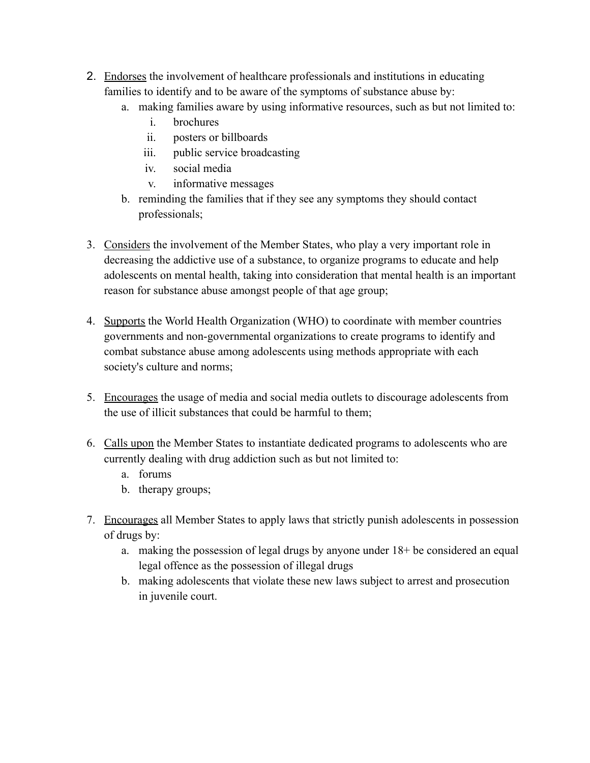- 2. Endorses the involvement of healthcare professionals and institutions in educating families to identify and to be aware of the symptoms of substance abuse by:
	- a. making families aware by using informative resources, such as but not limited to:
		- i. brochures
		- ii. posters or billboards
		- iii. public service broadcasting
		- iv. social media
		- v. informative messages
	- b. reminding the families that if they see any symptoms they should contact professionals;
- 3. Considers the involvement of the Member States, who play a very important role in decreasing the addictive use of a substance, to organize programs to educate and help adolescents on mental health, taking into consideration that mental health is an important reason for substance abuse amongst people of that age group;
- 4. Supports the World Health Organization (WHO) to coordinate with member countries governments and non-governmental organizations to create programs to identify and combat substance abuse among adolescents using methods appropriate with each society's culture and norms;
- 5. Encourages the usage of media and social media outlets to discourage adolescents from the use of illicit substances that could be harmful to them;
- 6. Calls upon the Member States to instantiate dedicated programs to adolescents who are currently dealing with drug addiction such as but not limited to:
	- a. forums
	- b. therapy groups;
- 7. Encourages all Member States to apply laws that strictly punish adolescents in possession of drugs by:
	- a. making the possession of legal drugs by anyone under 18+ be considered an equal legal offence as the possession of illegal drugs
	- b. making adolescents that violate these new laws subject to arrest and prosecution in juvenile court.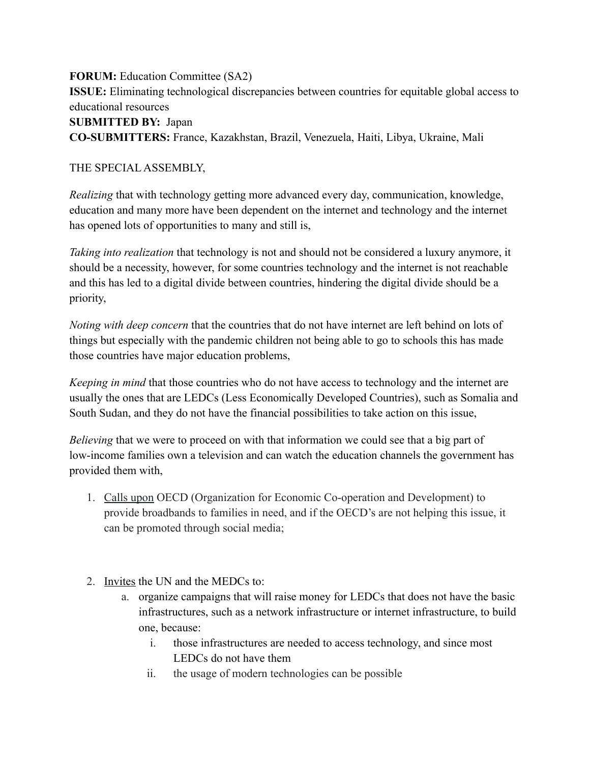**FORUM:** Education Committee (SA2) **ISSUE:** Eliminating technological discrepancies between countries for equitable global access to educational resources **SUBMITTED BY:** Japan **CO-SUBMITTERS:** France, Kazakhstan, Brazil, Venezuela, Haiti, Libya, Ukraine, Mali

### THE SPECIAL ASSEMBLY,

*Realizing* that with technology getting more advanced every day, communication, knowledge, education and many more have been dependent on the internet and technology and the internet has opened lots of opportunities to many and still is,

*Taking into realization* that technology is not and should not be considered a luxury anymore, it should be a necessity, however, for some countries technology and the internet is not reachable and this has led to a digital divide between countries, hindering the digital divide should be a priority,

*Noting with deep concern* that the countries that do not have internet are left behind on lots of things but especially with the pandemic children not being able to go to schools this has made those countries have major education problems,

*Keeping in mind* that those countries who do not have access to technology and the internet are usually the ones that are LEDCs (Less Economically Developed Countries), such as Somalia and South Sudan, and they do not have the financial possibilities to take action on this issue,

*Believing* that we were to proceed on with that information we could see that a big part of low-income families own a television and can watch the education channels the government has provided them with,

- 1. Calls upon OECD (Organization for Economic Co-operation and Development) to provide broadbands to families in need, and if the OECD's are not helping this issue, it can be promoted through social media;
- 2. Invites the UN and the MEDCs to:
	- a. organize campaigns that will raise money for LEDCs that does not have the basic infrastructures, such as a network infrastructure or internet infrastructure, to build one, because:
		- i. those infrastructures are needed to access technology, and since most LEDCs do not have them
		- ii. the usage of modern technologies can be possible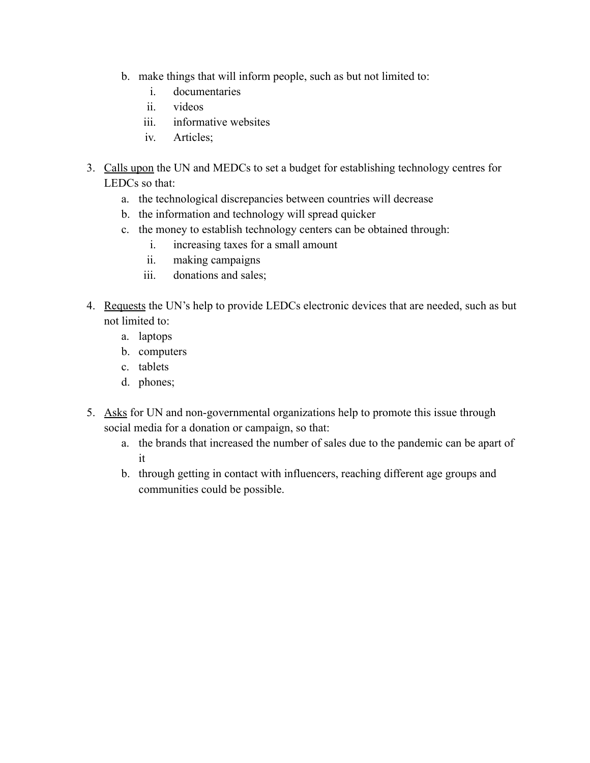- b. make things that will inform people, such as but not limited to:
	- i. documentaries
	- ii. videos
	- iii. informative websites
	- iv. Articles;
- 3. Calls upon the UN and MEDCs to set a budget for establishing technology centres for LEDCs so that:
	- a. the technological discrepancies between countries will decrease
	- b. the information and technology will spread quicker
	- c. the money to establish technology centers can be obtained through:
		- i. increasing taxes for a small amount
		- ii. making campaigns
		- iii. donations and sales;
- 4. Requests the UN's help to provide LEDCs electronic devices that are needed, such as but not limited to:
	- a. laptops
	- b. computers
	- c. tablets
	- d. phones;
- 5. Asks for UN and non-governmental organizations help to promote this issue through social media for a donation or campaign, so that:
	- a. the brands that increased the number of sales due to the pandemic can be apart of it
	- b. through getting in contact with influencers, reaching different age groups and communities could be possible.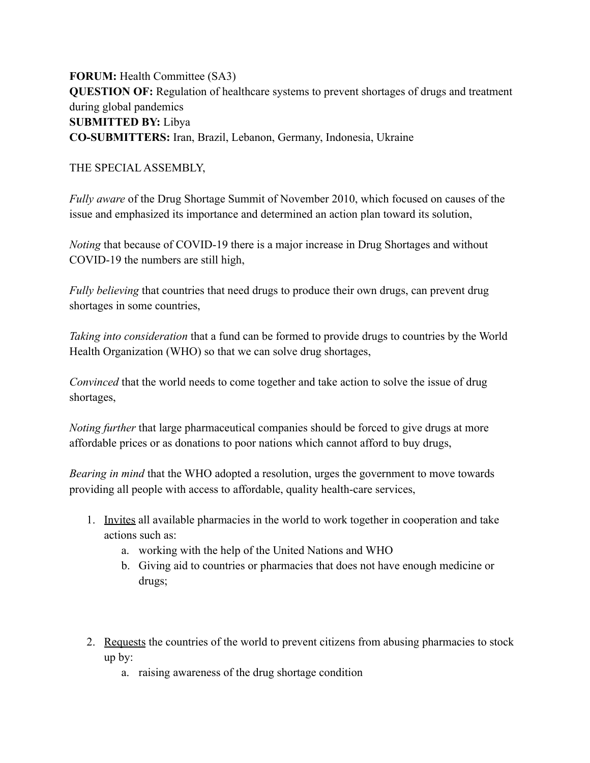**FORUM:** Health Committee (SA3) **QUESTION OF:** Regulation of healthcare systems to prevent shortages of drugs and treatment during global pandemics **SUBMITTED BY:** Libya **CO-SUBMITTERS:** Iran, Brazil, Lebanon, Germany, Indonesia, Ukraine

#### THE SPECIAL ASSEMBLY,

*Fully aware* of the Drug Shortage Summit of November 2010, which focused on causes of the issue and emphasized its importance and determined an action plan toward its solution,

*Noting* that because of COVID-19 there is a major increase in Drug Shortages and without COVID-19 the numbers are still high,

*Fully believing* that countries that need drugs to produce their own drugs, can prevent drug shortages in some countries,

*Taking into consideration* that a fund can be formed to provide drugs to countries by the World Health Organization (WHO) so that we can solve drug shortages,

*Convinced* that the world needs to come together and take action to solve the issue of drug shortages,

*Noting further* that large pharmaceutical companies should be forced to give drugs at more affordable prices or as donations to poor nations which cannot afford to buy drugs,

*Bearing in mind* that the WHO adopted a resolution, urges the government to move towards providing all people with access to affordable, quality health-care services,

- 1. Invites all available pharmacies in the world to work together in cooperation and take actions such as:
	- a. working with the help of the United Nations and WHO
	- b. Giving aid to countries or pharmacies that does not have enough medicine or drugs;
- 2. Requests the countries of the world to prevent citizens from abusing pharmacies to stock up by:
	- a. raising awareness of the drug shortage condition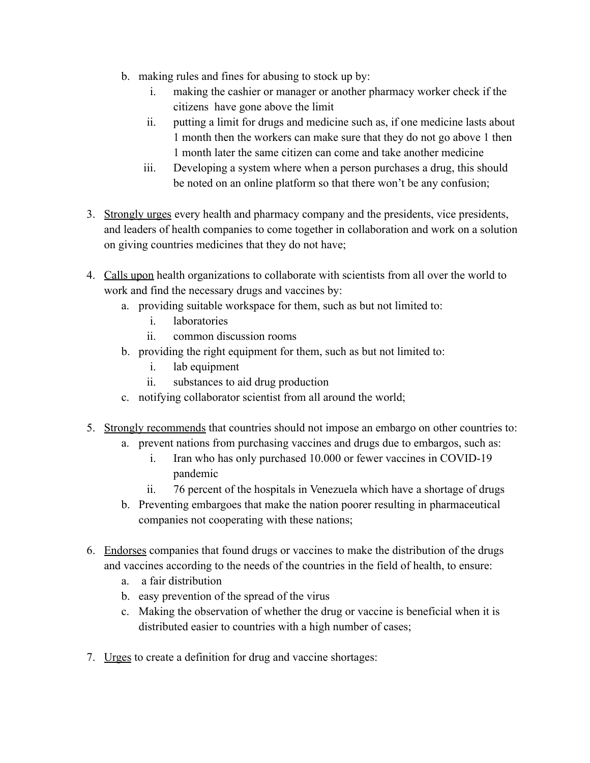- b. making rules and fines for abusing to stock up by:
	- i. making the cashier or manager or another pharmacy worker check if the citizens have gone above the limit
	- ii. putting a limit for drugs and medicine such as, if one medicine lasts about 1 month then the workers can make sure that they do not go above 1 then 1 month later the same citizen can come and take another medicine
	- iii. Developing a system where when a person purchases a drug, this should be noted on an online platform so that there won't be any confusion;
- 3. Strongly urges every health and pharmacy company and the presidents, vice presidents, and leaders of health companies to come together in collaboration and work on a solution on giving countries medicines that they do not have;
- 4. Calls upon health organizations to collaborate with scientists from all over the world to work and find the necessary drugs and vaccines by:
	- a. providing suitable workspace for them, such as but not limited to:
		- i. laboratories
		- ii. common discussion rooms
	- b. providing the right equipment for them, such as but not limited to:
		- i. lab equipment
		- ii. substances to aid drug production
	- c. notifying collaborator scientist from all around the world;
- 5. Strongly recommends that countries should not impose an embargo on other countries to:
	- a. prevent nations from purchasing vaccines and drugs due to embargos, such as:
		- i. Iran who has only purchased 10.000 or fewer vaccines in COVID-19 pandemic
		- ii. 76 percent of the hospitals in Venezuela which have a shortage of drugs
	- b. Preventing embargoes that make the nation poorer resulting in pharmaceutical companies not cooperating with these nations;
- 6. Endorses companies that found drugs or vaccines to make the distribution of the drugs and vaccines according to the needs of the countries in the field of health, to ensure:
	- a. a fair distribution
	- b. easy prevention of the spread of the virus
	- c. Making the observation of whether the drug or vaccine is beneficial when it is distributed easier to countries with a high number of cases;
- 7. Urges to create a definition for drug and vaccine shortages: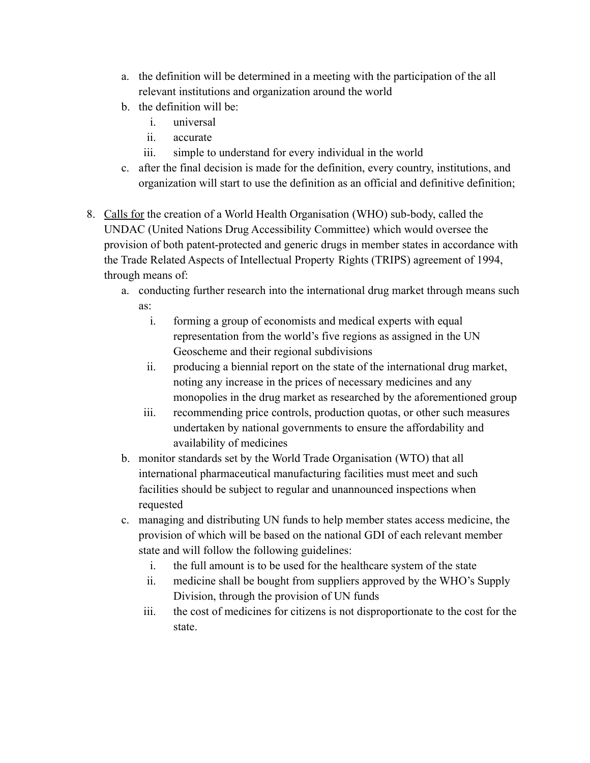- a. the definition will be determined in a meeting with the participation of the all relevant institutions and organization around the world
- b. the definition will be:
	- i. universal
	- ii. accurate
	- iii. simple to understand for every individual in the world
- c. after the final decision is made for the definition, every country, institutions, and organization will start to use the definition as an official and definitive definition;
- 8. Calls for the creation of a World Health Organisation (WHO) sub-body, called the UNDAC (United Nations Drug Accessibility Committee) which would oversee the provision of both patent-protected and generic drugs in member states in accordance with the Trade Related Aspects of Intellectual Property Rights (TRIPS) agreement of 1994, through means of:
	- a. conducting further research into the international drug market through means such as:
		- i. forming a group of economists and medical experts with equal representation from the world's five regions as assigned in the UN Geoscheme and their regional subdivisions
		- ii. producing a biennial report on the state of the international drug market, noting any increase in the prices of necessary medicines and any monopolies in the drug market as researched by the aforementioned group
		- iii. recommending price controls, production quotas, or other such measures undertaken by national governments to ensure the affordability and availability of medicines
	- b. monitor standards set by the World Trade Organisation (WTO) that all international pharmaceutical manufacturing facilities must meet and such facilities should be subject to regular and unannounced inspections when requested
	- c. managing and distributing UN funds to help member states access medicine, the provision of which will be based on the national GDI of each relevant member state and will follow the following guidelines:
		- i. the full amount is to be used for the healthcare system of the state
		- ii. medicine shall be bought from suppliers approved by the WHO's Supply Division, through the provision of UN funds
		- iii. the cost of medicines for citizens is not disproportionate to the cost for the state.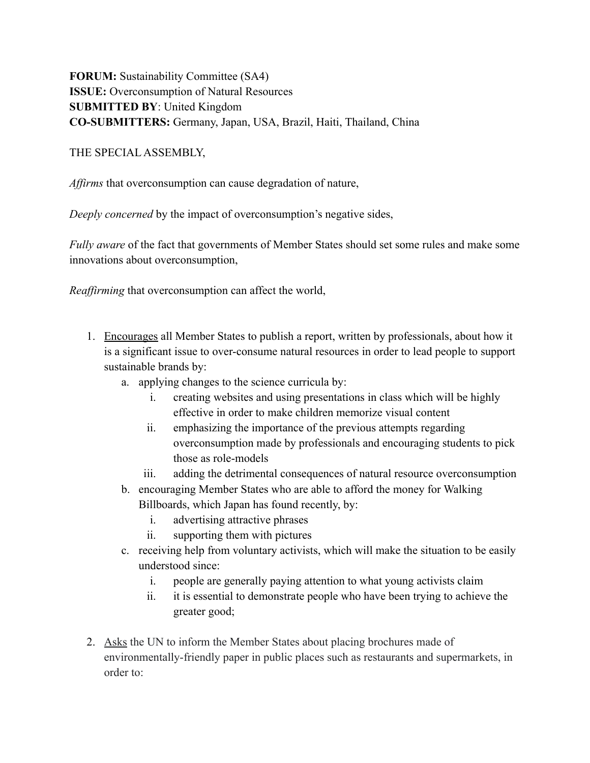**FORUM:** Sustainability Committee (SA4) **ISSUE:** Overconsumption of Natural Resources **SUBMITTED BY**: United Kingdom **CO-SUBMITTERS:** Germany, Japan, USA, Brazil, Haiti, Thailand, China

THE SPECIAL ASSEMBLY,

*Affirms* that overconsumption can cause degradation of nature,

*Deeply concerned* by the impact of overconsumption's negative sides,

*Fully aware* of the fact that governments of Member States should set some rules and make some innovations about overconsumption,

*Reaffirming* that overconsumption can affect the world,

- 1. Encourages all Member States to publish a report, written by professionals, about how it is a significant issue to over-consume natural resources in order to lead people to support sustainable brands by:
	- a. applying changes to the science curricula by:
		- i. creating websites and using presentations in class which will be highly effective in order to make children memorize visual content
		- ii. emphasizing the importance of the previous attempts regarding overconsumption made by professionals and encouraging students to pick those as role-models
		- iii. adding the detrimental consequences of natural resource overconsumption
	- b. encouraging Member States who are able to afford the money for Walking Billboards, which Japan has found recently, by:
		- i. advertising attractive phrases
		- ii. supporting them with pictures
	- c. receiving help from voluntary activists, which will make the situation to be easily understood since:
		- i. people are generally paying attention to what young activists claim
		- ii. it is essential to demonstrate people who have been trying to achieve the greater good;
- 2. Asks the UN to inform the Member States about placing brochures made of environmentally-friendly paper in public places such as restaurants and supermarkets, in order to: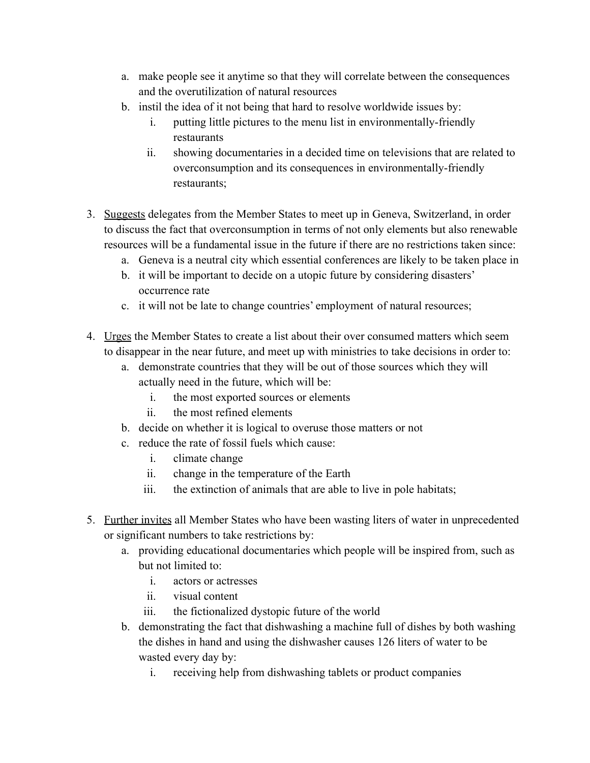- a. make people see it anytime so that they will correlate between the consequences and the overutilization of natural resources
- b. instil the idea of it not being that hard to resolve worldwide issues by:
	- i. putting little pictures to the menu list in environmentally-friendly restaurants
	- ii. showing documentaries in a decided time on televisions that are related to overconsumption and its consequences in environmentally-friendly restaurants;
- 3. Suggests delegates from the Member States to meet up in Geneva, Switzerland, in order to discuss the fact that overconsumption in terms of not only elements but also renewable resources will be a fundamental issue in the future if there are no restrictions taken since:
	- a. Geneva is a neutral city which essential conferences are likely to be taken place in
	- b. it will be important to decide on a utopic future by considering disasters' occurrence rate
	- c. it will not be late to change countries' employment of natural resources;
- 4. Urges the Member States to create a list about their over consumed matters which seem to disappear in the near future, and meet up with ministries to take decisions in order to:
	- a. demonstrate countries that they will be out of those sources which they will actually need in the future, which will be:
		- i. the most exported sources or elements
		- ii. the most refined elements
	- b. decide on whether it is logical to overuse those matters or not
	- c. reduce the rate of fossil fuels which cause:
		- i. climate change
		- ii. change in the temperature of the Earth
		- iii. the extinction of animals that are able to live in pole habitats;
- 5. Further invites all Member States who have been wasting liters of water in unprecedented or significant numbers to take restrictions by:
	- a. providing educational documentaries which people will be inspired from, such as but not limited to:
		- i. actors or actresses
		- ii. visual content
		- iii. the fictionalized dystopic future of the world
	- b. demonstrating the fact that dishwashing a machine full of dishes by both washing the dishes in hand and using the dishwasher causes 126 liters of water to be wasted every day by:
		- i. receiving help from dishwashing tablets or product companies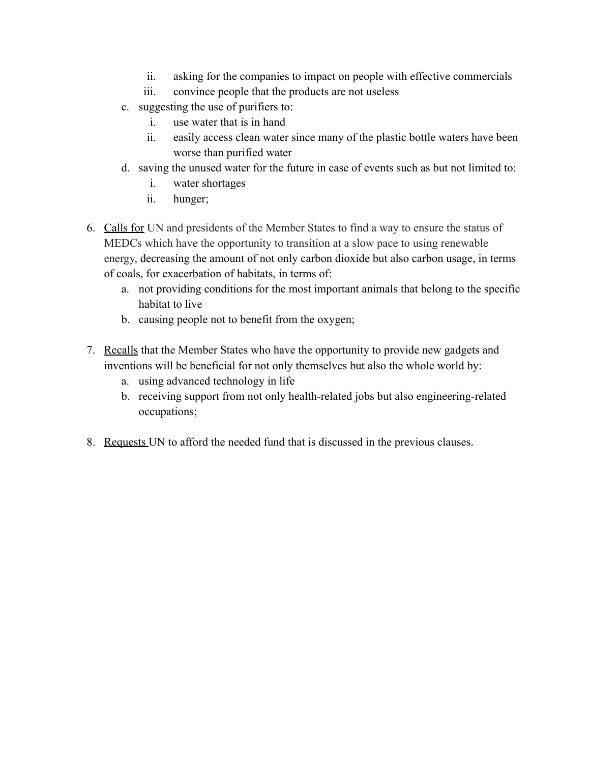- ii. asking for the companies to impact on people with effective commercials
- iii. convince people that the products are not useless
- c. suggesting the use of purifiers to:
	- i. use water that is in hand
	- ii. easily access clean water since many of the plastic bottle waters have been worse than purified water
- d. saving the unused water for the future in case of events such as but not limited to:
	- i. water shortages
	- ii. hunger;
- 6. Calls for UN and presidents of the Member States to find a way to ensure the status of MEDCs which have the opportunity to transition at a slow pace to using renewable energy, decreasing the amount of not only carbon dioxide but also carbon usage, in terms of coals, for exacerbation of habitats, in terms of:
	- a. not providing conditions for the most important animals that belong to the specific habitat to live
	- b. causing people not to benefit from the oxygen;
- 7. Recalls that the Member States who have the opportunity to provide new gadgets and inventions will be beneficial for not only themselves but also the whole world by:
	- a. using advanced technology in life
	- b. receiving support from not only health-related jobs but also engineering-related occupations;
- 8. Requests UN to afford the needed fund that is discussed in the previous clauses.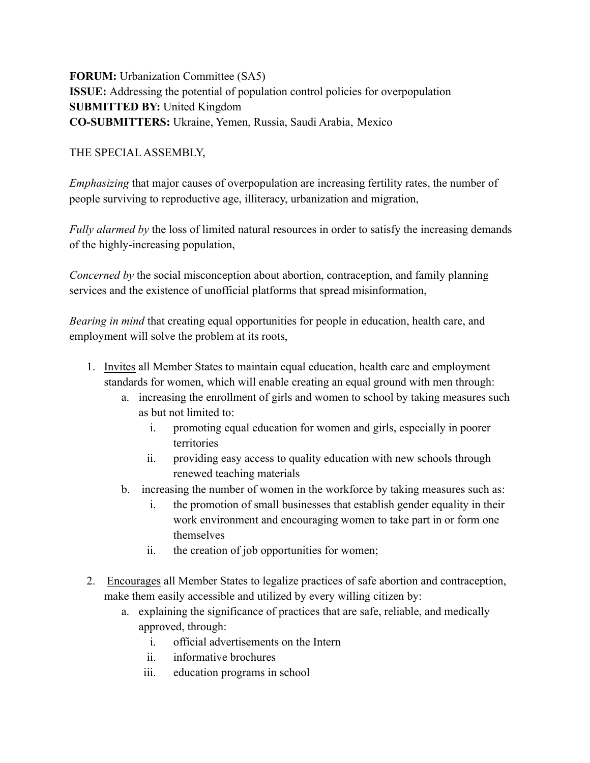**FORUM:** Urbanization Committee (SA5) **ISSUE:** Addressing the potential of population control policies for overpopulation **SUBMITTED BY:** United Kingdom **CO-SUBMITTERS:** Ukraine, Yemen, Russia, Saudi Arabia, Mexico

## THE SPECIAL ASSEMBLY,

*Emphasizing* that major causes of overpopulation are increasing fertility rates, the number of people surviving to reproductive age, illiteracy, urbanization and migration,

*Fully alarmed by* the loss of limited natural resources in order to satisfy the increasing demands of the highly-increasing population,

*Concerned by* the social misconception about abortion, contraception, and family planning services and the existence of unofficial platforms that spread misinformation,

*Bearing in mind* that creating equal opportunities for people in education, health care, and employment will solve the problem at its roots,

- 1. Invites all Member States to maintain equal education, health care and employment standards for women, which will enable creating an equal ground with men through:
	- a. increasing the enrollment of girls and women to school by taking measures such as but not limited to:
		- i. promoting equal education for women and girls, especially in poorer territories
		- ii. providing easy access to quality education with new schools through renewed teaching materials
	- b. increasing the number of women in the workforce by taking measures such as:
		- i. the promotion of small businesses that establish gender equality in their work environment and encouraging women to take part in or form one themselves
		- ii. the creation of job opportunities for women;
- 2. Encourages all Member States to legalize practices of safe abortion and contraception, make them easily accessible and utilized by every willing citizen by:
	- a. explaining the significance of practices that are safe, reliable, and medically approved, through:
		- i. official advertisements on the Intern
		- ii. informative brochures
		- iii. education programs in school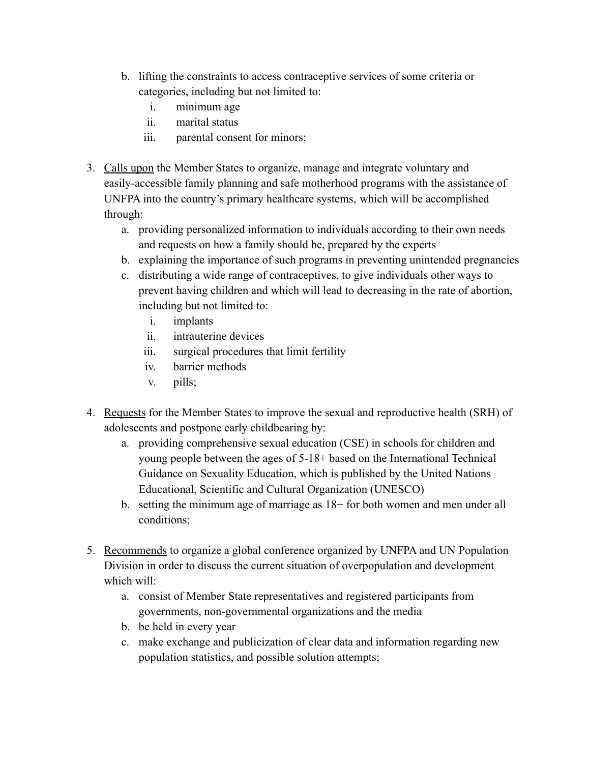- b. lifting the constraints to access contraceptive services of some criteria or categories, including but not limited to:
	- i. minimum age
	- ii. marital status
	- iii. parental consent for minors;
- 3. Calls upon the Member States to organize, manage and integrate voluntary and easily-accessible family planning and safe motherhood programs with the assistance of UNFPA into the country's primary healthcare systems, which will be accomplished through:
	- a. providing personalized information to individuals according to their own needs and requests on how a family should be, prepared by the experts
	- b. explaining the importance of such programs in preventing unintended pregnancies
	- c. distributing a wide range of contraceptives, to give individuals other ways to prevent having children and which will lead to decreasing in the rate of abortion, including but not limited to:
		- i. implants
		- ii. intrauterine devices
		- iii. surgical procedures that limit fertility
		- iv. barrier methods
		- v. pills;
- 4. Requests for the Member States to improve the sexual and reproductive health (SRH) of adolescents and postpone early childbearing by:
	- a. providing comprehensive sexual education (CSE) in schools for children and young people between the ages of 5-18+ based on the International Technical Guidance on Sexuality Education, which is published by the United Nations Educational, Scientific and Cultural Organization (UNESCO)
	- b. setting the minimum age of marriage as 18+ for both women and men under all conditions;
- 5. Recommends to organize a global conference organized by UNFPA and UN Population Division in order to discuss the current situation of overpopulation and development which will:
	- a. consist of Member State representatives and registered participants from governments, non-governmental organizations and the media
	- b. be held in every year
	- c. make exchange and publicization of clear data and information regarding new population statistics, and possible solution attempts;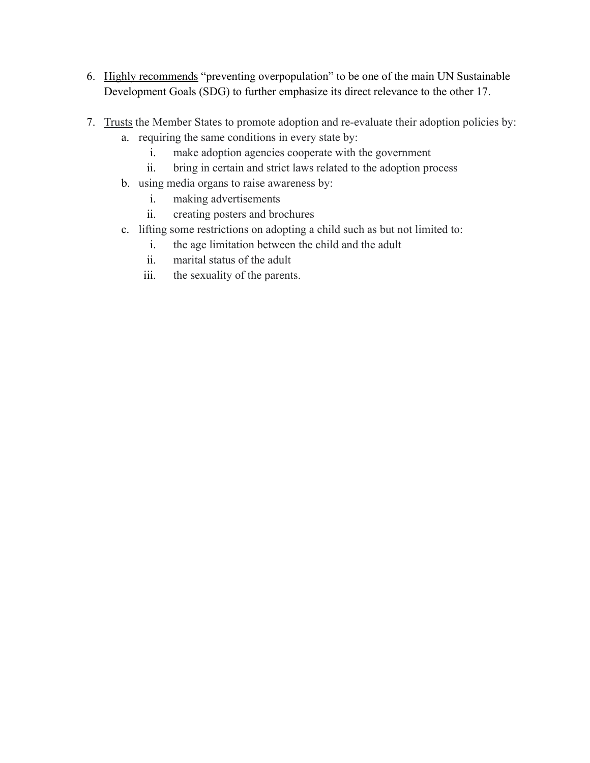- 6. Highly recommends "preventing overpopulation" to be one of the main UN Sustainable Development Goals (SDG) to further emphasize its direct relevance to the other 17.
- 7. Trusts the Member States to promote adoption and re-evaluate their adoption policies by:
	- a. requiring the same conditions in every state by:
		- i. make adoption agencies cooperate with the government
		- ii. bring in certain and strict laws related to the adoption process
	- b. using media organs to raise awareness by:
		- i. making advertisements
		- ii. creating posters and brochures
	- c. lifting some restrictions on adopting a child such as but not limited to:
		- i. the age limitation between the child and the adult
		- ii. marital status of the adult
		- iii. the sexuality of the parents.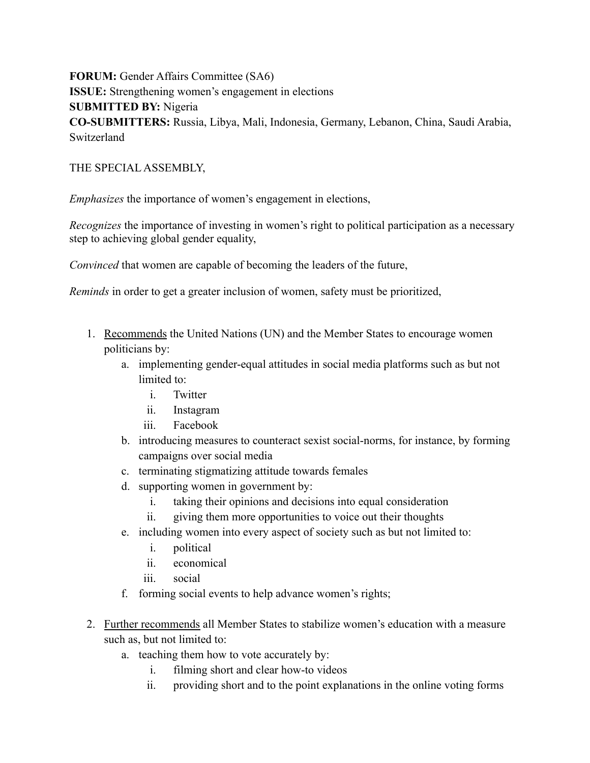**FORUM:** Gender Affairs Committee (SA6) **ISSUE:** Strengthening women's engagement in elections **SUBMITTED BY:** Nigeria **CO-SUBMITTERS:** Russia, Libya, Mali, Indonesia, Germany, Lebanon, China, Saudi Arabia, Switzerland

## THE SPECIAL ASSEMBLY,

*Emphasizes* the importance of women's engagement in elections,

*Recognizes* the importance of investing in women's right to political participation as a necessary step to achieving global gender equality,

*Convinced* that women are capable of becoming the leaders of the future,

*Reminds* in order to get a greater inclusion of women, safety must be prioritized,

- 1. Recommends the United Nations (UN) and the Member States to encourage women politicians by:
	- a. implementing gender-equal attitudes in social media platforms such as but not limited to:
		- i. Twitter
		- ii. Instagram
		- iii. Facebook
	- b. introducing measures to counteract sexist social-norms, for instance, by forming campaigns over social media
	- c. terminating stigmatizing attitude towards females
	- d. supporting women in government by:
		- i. taking their opinions and decisions into equal consideration
		- ii. giving them more opportunities to voice out their thoughts
	- e. including women into every aspect of society such as but not limited to:
		- i. political
		- ii. economical
		- iii. social
	- f. forming social events to help advance women's rights;
- 2. Further recommends all Member States to stabilize women's education with a measure such as, but not limited to:
	- a. teaching them how to vote accurately by:
		- i. filming short and clear how-to videos
		- ii. providing short and to the point explanations in the online voting forms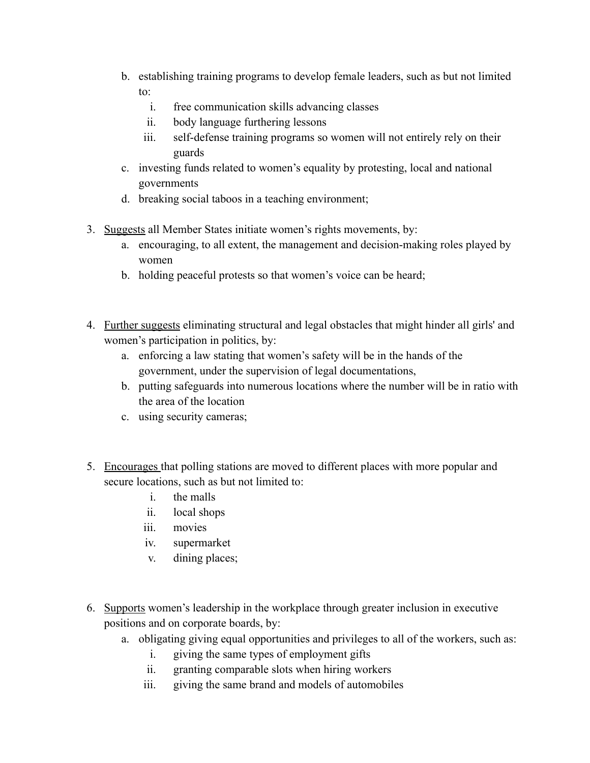- b. establishing training programs to develop female leaders, such as but not limited to:
	- i. free communication skills advancing classes
	- ii. body language furthering lessons
	- iii. self-defense training programs so women will not entirely rely on their guards
- c. investing funds related to women's equality by protesting, local and national governments
- d. breaking social taboos in a teaching environment;
- 3. Suggests all Member States initiate women's rights movements, by:
	- a. encouraging, to all extent, the management and decision-making roles played by women
	- b. holding peaceful protests so that women's voice can be heard;
- 4. Further suggests eliminating structural and legal obstacles that might hinder all girls' and women's participation in politics, by:
	- a. enforcing a law stating that women's safety will be in the hands of the government, under the supervision of legal documentations,
	- b. putting safeguards into numerous locations where the number will be in ratio with the area of the location
	- c. using security cameras;
- 5. Encourages that polling stations are moved to different places with more popular and secure locations, such as but not limited to:
	- i. the malls
	- ii. local shops
	- iii. movies
	- iv. supermarket
	- v. dining places;
- 6. Supports women's leadership in the workplace through greater inclusion in executive positions and on corporate boards, by:
	- a. obligating giving equal opportunities and privileges to all of the workers, such as:
		- i. giving the same types of employment gifts
		- ii. granting comparable slots when hiring workers
		- iii. giving the same brand and models of automobiles